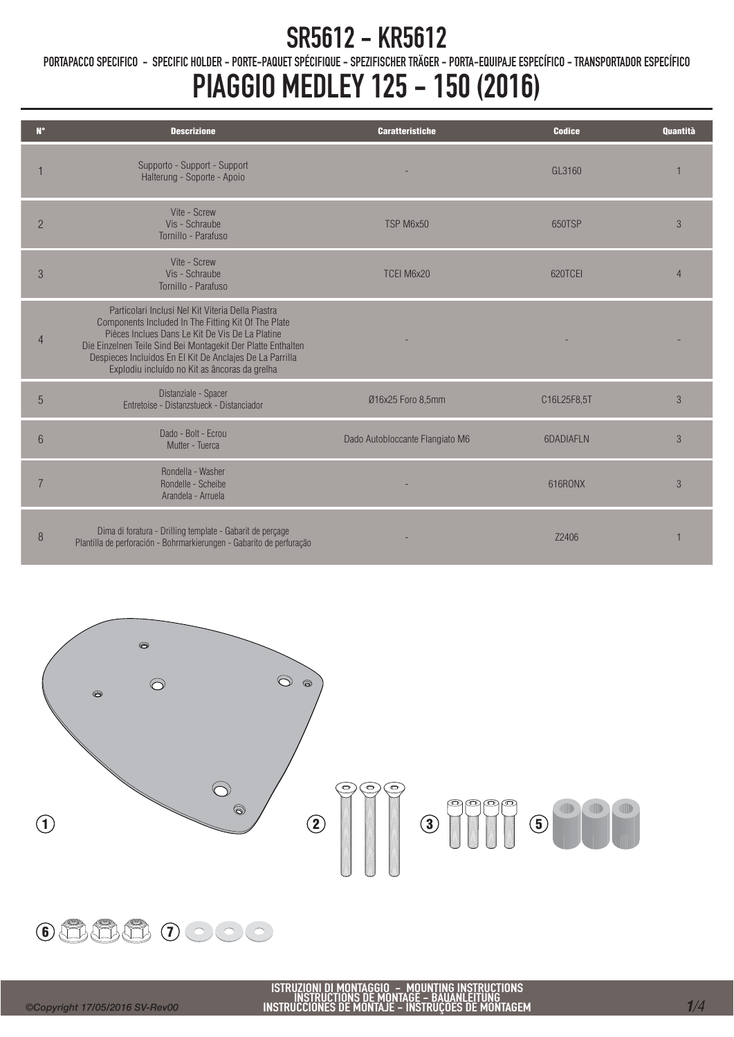PORTAPACCO SPECIFICO - SPECIFIC HOLDER - PORTE-PAQUET SPÉCIFIQUE - SPEZIFISCHER TRÄGER - PORTA-EQUIPAJE ESPECÍFICO - TRANSPORTADOR ESPECÍFICO

## PIAGGIO MEDLEY 125 - 150 (2016)

| $N^{\circ}$    | <b>Descrizione</b>                                                                                                                                                                                                                                                                                                                       | <b>Caratteristiche</b>          | <b>Codice</b> | <b>Quantità</b> |
|----------------|------------------------------------------------------------------------------------------------------------------------------------------------------------------------------------------------------------------------------------------------------------------------------------------------------------------------------------------|---------------------------------|---------------|-----------------|
|                | Supporto - Support - Support<br>Halterung - Soporte - Apoio                                                                                                                                                                                                                                                                              |                                 | GL3160        |                 |
| $\overline{2}$ | Vite - Screw<br>Vis - Schraube<br>Tornillo - Parafuso                                                                                                                                                                                                                                                                                    | TSP M6x50                       | 650TSP        | 3               |
| 3              | Vite - Screw<br>Vis - Schraube<br>Tornillo - Parafuso                                                                                                                                                                                                                                                                                    | TCEI M6x20                      | 620TCFI       | $\overline{4}$  |
| $\overline{4}$ | Particolari Inclusi Nel Kit Viteria Della Piastra<br>Components Included In The Fitting Kit Of The Plate<br>Pièces Inclues Dans Le Kit De Vis De La Platine<br>Die Einzelnen Teile Sind Bei Montagekit Der Platte Enthalten<br>Despieces Incluidos En El Kit De Anclajes De La Parrilla<br>Explodiu incluído no Kit as âncoras da grelha |                                 |               |                 |
| 5              | Distanziale - Spacer<br>Entretoise - Distanzstueck - Distanciador                                                                                                                                                                                                                                                                        | Ø16x25 Foro 8,5mm               | C16L25F8,5T   | 3               |
| 6              | Dado - Bolt - Fcrou<br>Mutter - Tuerca                                                                                                                                                                                                                                                                                                   | Dado Autobloccante Flangiato M6 | 6DADIAFLN     | 3               |
| $\overline{7}$ | Rondella - Washer<br>Rondelle - Scheibe<br>Arandela - Arruela                                                                                                                                                                                                                                                                            |                                 | 616RONX       | 3               |
| 8              | Dima di foratura - Drilling template - Gabarit de perçage<br>Plantilla de perforación - Bohrmarkierungen - Gabarito de perfuração                                                                                                                                                                                                        |                                 | 72406         |                 |





ISTRUZIONI DI MONTAGGIO – MOUNTING INSTRUCTIONS<br>INSTRUCTIONS DE MONTAGE – BAUANLEITUNG<br>INSTRUCCIONES DE MONTAJE – INSTRUÇÕES DE MONTAGEM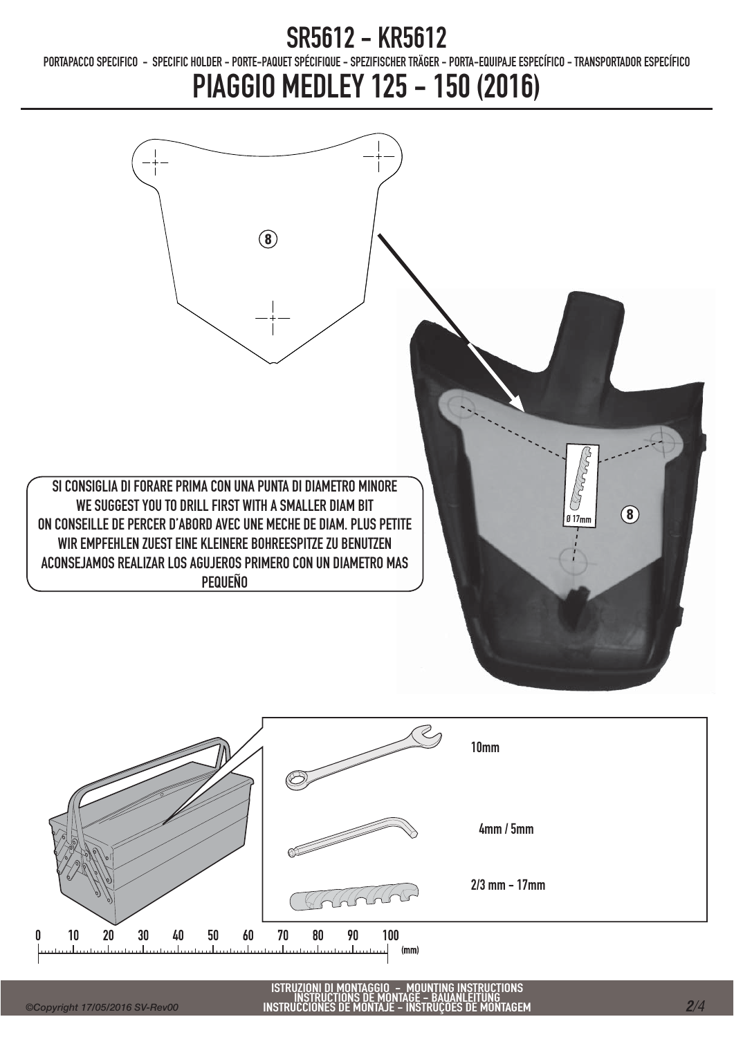PORTAPACCO SPECIFICO - SPECIFIC HOLDER - PORTE-PAQUET SPÉCIFIQUE - SPEZIFISCHER TRÄGER - PORTA-EQUIPAJE ESPECÍFICO - TRANSPORTADOR ESPECÍFICO

# PIAGGIO MEDLEY 125 - 150 (2016)

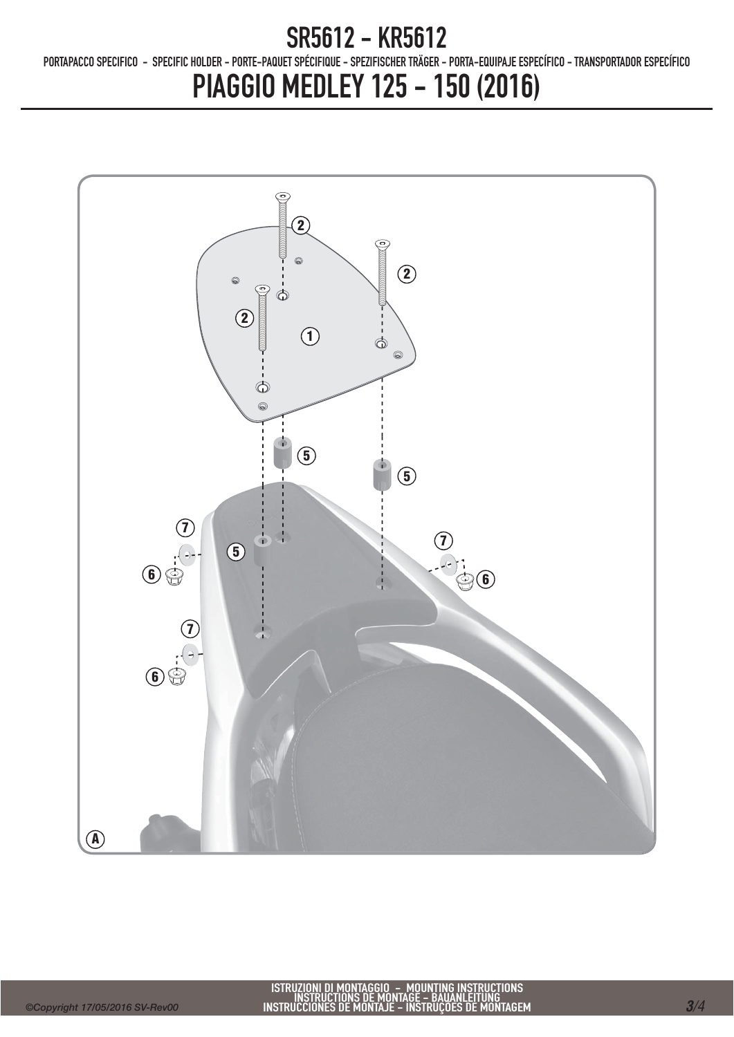PORTAPACCO SPECIFICO - SPECIFIC HOLDER - PORTE-PAQUET SPÉCIFIQUE - SPEZIFISCHER TRÄGER - PORTA-EQUIPAJE ESPECÍFICO - TRANSPORTADOR ESPECÍFICO

## PIAGGIO MEDLEY 125 - 150 (2016)